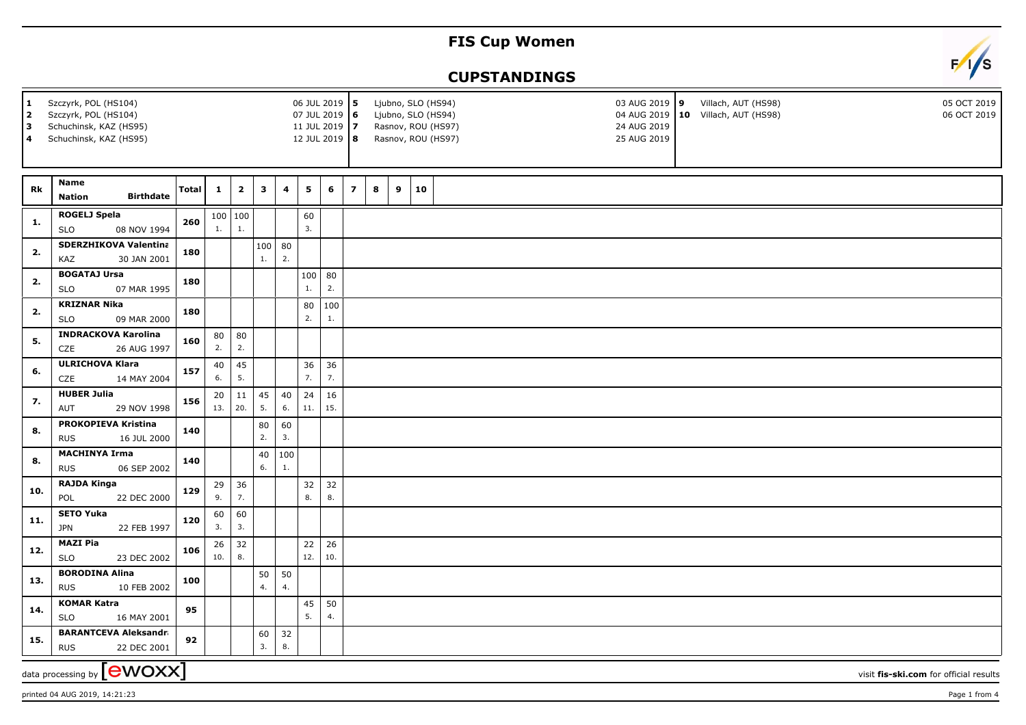## **FIS Cup Women**

## **CUPSTANDINGS**



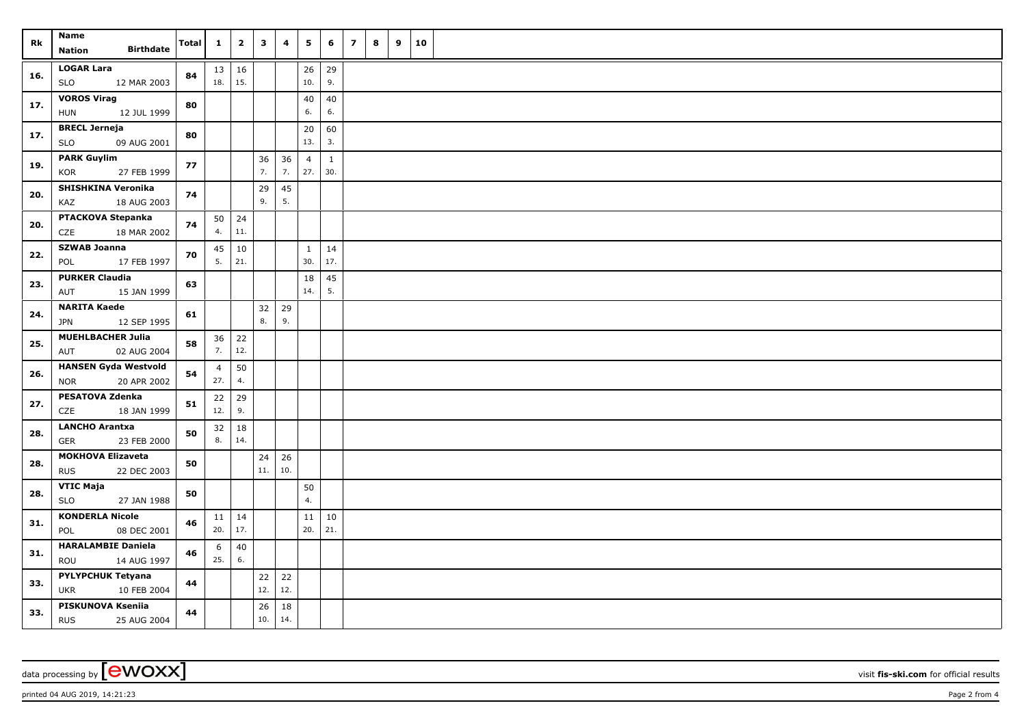| Rk  | Name                                                  |              | $\mathbf{1}$   | $\overline{2}$ | $\mathbf{3}$ | 4         | 5              | 6            | $\overline{\phantom{a}}$ | 8 | 9 | 10 |  |
|-----|-------------------------------------------------------|--------------|----------------|----------------|--------------|-----------|----------------|--------------|--------------------------|---|---|----|--|
|     | <b>Birthdate</b><br>Nation                            | <b>Total</b> |                |                |              |           |                |              |                          |   |   |    |  |
| 16. | <b>LOGAR Lara</b>                                     | 84           | 13 16          |                |              |           | 26             | 29           |                          |   |   |    |  |
|     | <b>SLO</b><br>12 MAR 2003                             |              | 18.            | 15.            |              |           | 10.            | 9.           |                          |   |   |    |  |
| 17. | <b>VOROS Virag</b>                                    | 80           |                |                |              |           | 40             | 40           |                          |   |   |    |  |
|     | 12 JUL 1999<br><b>HUN</b>                             |              |                |                |              |           | 6.             | 6.           |                          |   |   |    |  |
| 17. | <b>BRECL Jerneja</b><br><b>SLO</b><br>09 AUG 2001     | 80           |                |                |              |           | 20<br>13.      | 60<br>3.     |                          |   |   |    |  |
|     | <b>PARK Guylim</b>                                    |              |                |                | 36           | 36        | $\overline{4}$ | $\mathbf{1}$ |                          |   |   |    |  |
| 19. | 27 FEB 1999<br>KOR                                    | 77           |                |                | 7.           | 7.        | 27.            | 30.          |                          |   |   |    |  |
| 20. | SHISHKINA Veronika                                    |              |                |                | 29           | 45        |                |              |                          |   |   |    |  |
|     | 18 AUG 2003<br>KAZ                                    | 74           |                |                | 9.           | 5.        |                |              |                          |   |   |    |  |
| 20. | PTACKOVA Stepanka                                     | 74           | 50             | $\vert$ 24     |              |           |                |              |                          |   |   |    |  |
|     | 18 MAR 2002<br>CZE                                    |              | 4.             | 11.            |              |           |                |              |                          |   |   |    |  |
| 22. | <b>SZWAB Joanna</b>                                   | 70           | 45             | 10             |              |           | $\mathbf{1}$   | 14           |                          |   |   |    |  |
|     | POL<br>17 FEB 1997                                    |              | 5.             | 21.            |              |           | 30.            | 17.          |                          |   |   |    |  |
| 23. | <b>PURKER Claudia</b><br>15 JAN 1999<br>AUT           | 63           |                |                |              |           | 18<br>14.      | 45<br>5.     |                          |   |   |    |  |
|     | <b>NARITA Kaede</b>                                   |              |                |                | 32           | 29        |                |              |                          |   |   |    |  |
| 24. | 12 SEP 1995<br>JPN                                    | 61           |                |                | 8.           | 9.        |                |              |                          |   |   |    |  |
| 25. | MUEHLBACHER Julia                                     | 58           |                | $36 \mid 22$   |              |           |                |              |                          |   |   |    |  |
|     | 02 AUG 2004<br>AUT                                    |              | 7.             | 12.            |              |           |                |              |                          |   |   |    |  |
| 26. | <b>HANSEN Gyda Westvold</b>                           | 54           | $\overline{4}$ | 50             |              |           |                |              |                          |   |   |    |  |
|     | 20 APR 2002<br><b>NOR</b>                             |              | 27.            | 4.             |              |           |                |              |                          |   |   |    |  |
| 27. | PESATOVA Zdenka                                       | 51           | 22             | 29             |              |           |                |              |                          |   |   |    |  |
|     | CZE<br>18 JAN 1999                                    |              | 12.            | 9.             |              |           |                |              |                          |   |   |    |  |
| 28. | <b>LANCHO Arantxa</b><br><b>GER</b><br>23 FEB 2000    | 50           | 32<br>8.       | 18<br>14.      |              |           |                |              |                          |   |   |    |  |
|     | <b>MOKHOVA Elizaveta</b>                              |              |                |                | 24           | 26        |                |              |                          |   |   |    |  |
| 28. | <b>RUS</b><br>22 DEC 2003                             | 50           |                |                | 11.          | 10.       |                |              |                          |   |   |    |  |
| 28. | <b>VTIC Maja</b>                                      |              |                |                |              |           | 50             |              |                          |   |   |    |  |
|     | <b>SLO</b><br>27 JAN 1988                             | 50           |                |                |              |           | 4.             |              |                          |   |   |    |  |
| 31. | <b>KONDERLA Nicole</b>                                | 46           | $11 \mid 14$   |                |              |           | 11             | 10           |                          |   |   |    |  |
|     | 08 DEC 2001<br>POL                                    |              | 20.            | 17.            |              |           | 20.            | 21.          |                          |   |   |    |  |
| 31. | <b>HARALAMBIE Daniela</b>                             | 46           | 6              | 40             |              |           |                |              |                          |   |   |    |  |
|     | 14 AUG 1997<br>ROU                                    |              | 25.            | 6.             |              |           |                |              |                          |   |   |    |  |
| 33. | <b>PYLYPCHUK Tetyana</b><br><b>UKR</b><br>10 FEB 2004 | 44           |                |                | 22<br>12.    | 22<br>12. |                |              |                          |   |   |    |  |
| 33. | PISKUNOVA Kseniia                                     |              |                |                | 26           | 18        |                |              |                          |   |   |    |  |
|     | <b>RUS</b><br>25 AUG 2004                             | 44           |                |                | 10.          | 14.       |                |              |                          |   |   |    |  |

data processing by **CWOXX** visit **fis-ski.com** for official results

printed 04 AUG 2019, 14:21:23 Page 2 from 4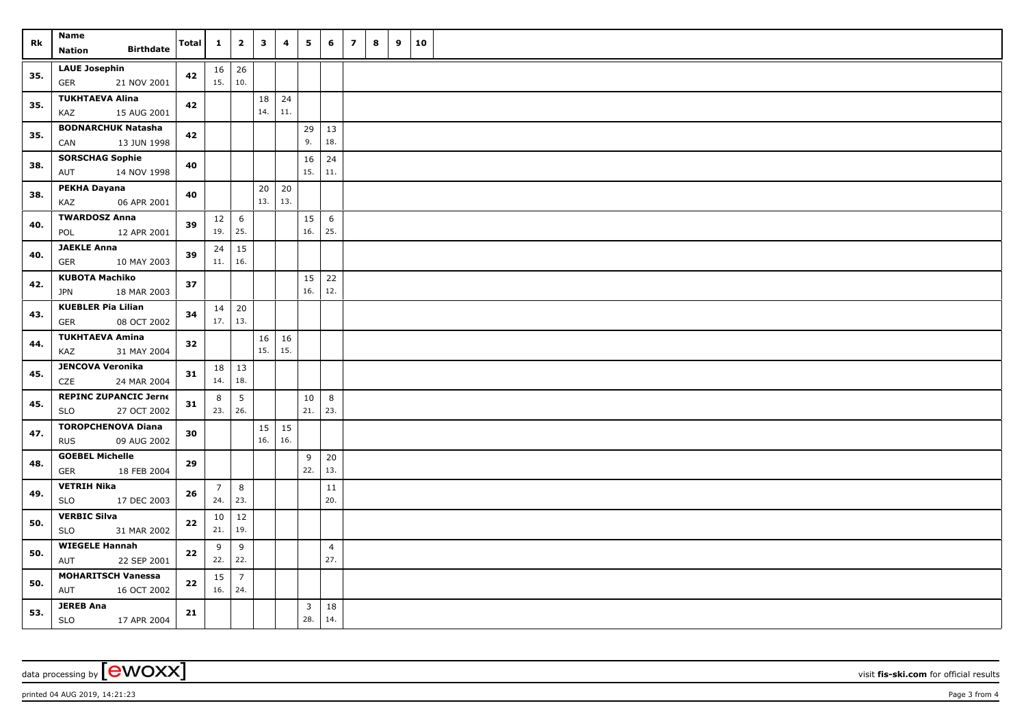| Rk  | Name                                            |              | $\mathbf{1}$              | $\overline{2}$  | $\mathbf{3}$ | 4   | 5                       | 6              | $\overline{z}$ | 8 | 9 | 10 |  |
|-----|-------------------------------------------------|--------------|---------------------------|-----------------|--------------|-----|-------------------------|----------------|----------------|---|---|----|--|
|     | <b>Birthdate</b><br><b>Nation</b>               | <b>Total</b> |                           |                 |              |     |                         |                |                |   |   |    |  |
| 35. | <b>LAUE Josephin</b>                            | 42           | $16 \mid 26$              |                 |              |     |                         |                |                |   |   |    |  |
|     | <b>GER</b><br>21 NOV 2001                       |              | 15.   10.                 |                 |              |     |                         |                |                |   |   |    |  |
| 35. | <b>TUKHTAEVA Alina</b>                          | 42           |                           |                 | 18           | 24  |                         |                |                |   |   |    |  |
|     | 15 AUG 2001<br>KAZ                              |              |                           |                 | 14.          | 11. |                         |                |                |   |   |    |  |
| 35. | <b>BODNARCHUK Natasha</b>                       | 42           |                           |                 |              |     | 29                      | 13             |                |   |   |    |  |
|     | 13 JUN 1998<br>CAN                              |              |                           |                 |              |     | 9.                      | 18.            |                |   |   |    |  |
| 38. | <b>SORSCHAG Sophie</b>                          | 40           |                           |                 |              |     | 16                      | 24             |                |   |   |    |  |
|     | 14 NOV 1998<br>AUT                              |              |                           |                 |              |     | 15.                     | 11.            |                |   |   |    |  |
| 38. | PEKHA Dayana                                    | 40           |                           |                 | 20           | 20  |                         |                |                |   |   |    |  |
|     | 06 APR 2001<br>KAZ                              |              |                           |                 | 13.          | 13. |                         |                |                |   |   |    |  |
| 40. | <b>TWARDOSZ Anna</b>                            | 39           | 12                        | 6               |              |     | 15                      | 6              |                |   |   |    |  |
|     | POL<br>12 APR 2001                              |              | 19.                       | 25.             |              |     | 16.                     | 25.            |                |   |   |    |  |
| 40. | <b>JAEKLE Anna</b>                              |              | 24                        | 15              |              |     |                         |                |                |   |   |    |  |
|     | <b>GER</b><br>10 MAY 2003                       |              | 11.   16.                 |                 |              |     |                         |                |                |   |   |    |  |
| 42. | <b>KUBOTA Machiko</b>                           | 37           |                           |                 |              |     | 15<br>16.               | 22<br>12.      |                |   |   |    |  |
|     | JPN<br>18 MAR 2003<br><b>KUEBLER Pia Lilian</b> |              |                           |                 |              |     |                         |                |                |   |   |    |  |
| 43. | <b>GER</b><br>08 OCT 2002                       | 34           | $14 \mid 20$<br>$17.$ 13. |                 |              |     |                         |                |                |   |   |    |  |
|     | <b>TUKHTAEVA Amina</b>                          |              |                           |                 | 16           | 16  |                         |                |                |   |   |    |  |
| 44. | KAZ<br>31 MAY 2004                              | 32           |                           |                 | 15.          | 15. |                         |                |                |   |   |    |  |
|     | <b>JENCOVA Veronika</b>                         |              | $18$ 13                   |                 |              |     |                         |                |                |   |   |    |  |
| 45. | CZE<br>24 MAR 2004                              | 31           | 14.                       | 18.             |              |     |                         |                |                |   |   |    |  |
|     | <b>REPINC ZUPANCIC Jerne</b>                    | 31           | 8                         | $5\phantom{.0}$ |              |     | 10                      | 8              |                |   |   |    |  |
| 45. | <b>SLO</b><br>27 OCT 2002                       |              | 23.   26.                 |                 |              |     | 21.                     | 23.            |                |   |   |    |  |
|     | <b>TOROPCHENOVA Diana</b>                       |              |                           |                 | 15           | 15  |                         |                |                |   |   |    |  |
| 47. | <b>RUS</b><br>09 AUG 2002                       | 30           |                           |                 | 16.          | 16. |                         |                |                |   |   |    |  |
| 48. | <b>GOEBEL Michelle</b>                          | 29           |                           |                 |              |     | 9                       | $20\,$         |                |   |   |    |  |
|     | 18 FEB 2004<br><b>GER</b>                       |              |                           |                 |              |     | 22.                     | 13.            |                |   |   |    |  |
| 49. | <b>VETRIH Nika</b>                              | 26           | $\overline{7}$            | 8               |              |     |                         | 11             |                |   |   |    |  |
|     | <b>SLO</b><br>17 DEC 2003                       |              | 24.                       | 23.             |              |     |                         | 20.            |                |   |   |    |  |
| 50. | <b>VERBIC Silva</b>                             | ${\bf 22}$   | 10                        | 12              |              |     |                         |                |                |   |   |    |  |
|     | <b>SLO</b><br>31 MAR 2002                       |              | 21.                       | 19.             |              |     |                         |                |                |   |   |    |  |
| 50. | <b>WIEGELE Hannah</b>                           | 22           | 9                         | 9               |              |     |                         | $\overline{4}$ |                |   |   |    |  |
|     | 22 SEP 2001<br>AUT                              |              | 22.                       | 22.             |              |     |                         | 27.            |                |   |   |    |  |
| 50. | <b>MOHARITSCH Vanessa</b>                       | 22           | 15                        | $\overline{7}$  |              |     |                         |                |                |   |   |    |  |
|     | AUT<br>16 OCT 2002                              |              | 16.   24.                 |                 |              |     |                         |                |                |   |   |    |  |
| 53. | <b>JEREB Ana</b>                                | 21           |                           |                 |              |     | $\overline{\mathbf{3}}$ | 18             |                |   |   |    |  |
|     | SLO<br>17 APR 2004                              |              |                           |                 |              |     | 28.                     | 14.            |                |   |   |    |  |

data processing by **CWOXX** wisit **fis-ski.com** for official results